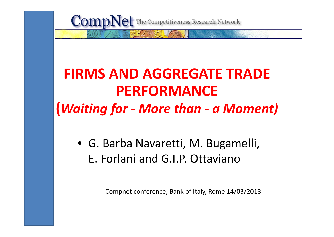**CompNet** The Competitiveness Research Network

## **FIRMS AND AGGREGATE TRADE PERFORMANCE(***Waiting for ‐ More than ‐ <sup>a</sup> Moment)*

• G. Barba Navaretti, M. Bugamelli, E. Forlani and G.I.P. Ottaviano

Compnet conference, Bank of Italy, Rome 14/03/2013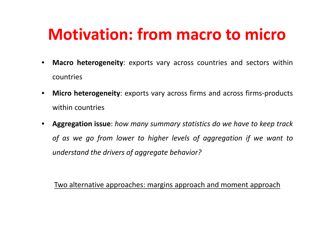## **Motivation: from macro to micro**

- $\bullet$ **Macro heterogeneity**: exports vary across countries and sectors within countries
- •**Micro heterogeneity**: exports vary across firms and across firms-products within countries
- Aggregation issue: how many summary statistics do we have to keep track of as we go from lower to higher levels of aggregation if we want to *understand the drivers of aggregate behavior?*

Two alternative approaches: margins approach and moment approach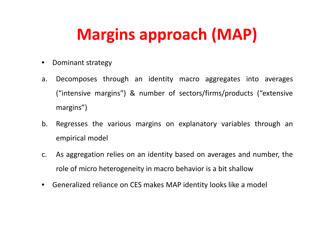# **Margins approach (MAP)**

- $\bullet$ Dominant strategy
- a. Decomposes through an identity macro aggregates into averages ("intensive margins") & number of sectors/firms/products ("extensive margins")
- b. Regresses the various margins on explanatory variables through an empirical model
- c. As aggregation relies on an identity based on averages and number, the role of micro heterogeneity in macro behavior is <sup>a</sup> bit shallow
- Generalized reliance on CES makes MAP identity looks like <sup>a</sup> model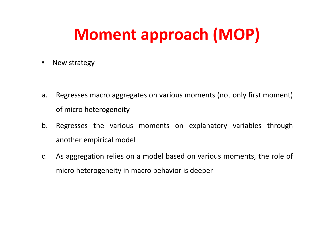# **Moment approach (MOP)**

 $\bullet$ New strategy

- a. Regresses macro aggregates on various moments (not only first moment) of micro heterogeneity
- b. Regresses the various moments on explanatory variables through another empirical model
- c. As aggregation relies on <sup>a</sup> model based on various moments, the role of micro heterogeneity in macro behavior is deeper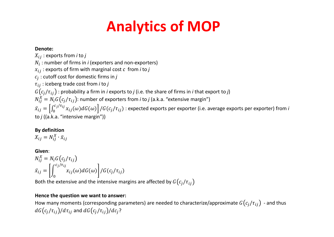## **Analytics of MOP**

#### **Denote:**

 $X_{ij}$ : exports from *i* to *j* 

 $N_{\widetilde{t}}$  : number of firms in *i* (exporters and non-exporters)

 $x_{ij}$  : exports of firm with marginal cost  $c$  from *i* to  $j$ 

ܿ : cutoff cost for domestic firms in *j*

߬ : iceberg trade cost from *<sup>i</sup>* to *j*

 $G\big(c_j/\tau_{ij}\big)$  : probability a firm in *i* exports to *j* (i.e. the share of firms in *i* that export to *j*)

 $N_{ii}^X = N_i G(c_i/\tau_{ii})$ : number of exporters from *i* to *j* (a.k.a. "extensive margin")

 $\pmb{\mathcal{X}}$  $\tilde{u}_{ij}=\left[\int_0^{c_j/\tau_{ij}}x_{ij}(\omega)dG(\omega)\right]/G(c_j/\tau_{ij})$  : expected exports per exporter (i.e. average exports per exporter) from *i* to *j* ((a.k.a. "intensive margin"))

#### **By definition**

$$
X_{ij} = N_{ij}^X \cdot \bar{x}_{ij}
$$

#### **Given**:

 $N_{ii}^X = N_i G(c_i/\tau_{ii})$  $\chi$  $\alpha_{ij} = \left[ \int_0^{c_j/\tau_{ij}} x_{ij}(\omega) dG(\omega) \right] / G(c_j/\tau_{ij}).$ 

Both the extensive and the intensive margins are affected by  $G\big(c_j/\tau_{ij}$ 

#### **Hence the question we want to answer:**

How many moments (corresponding parameters) are needed to characterize/approximate  $G(c_j/\tau_{ij})$  - and thus  $dG(c_i/\tau_{ii})/d\tau_{ii}$  and  $dG(c_i/\tau_{ii})/dc_i$ ?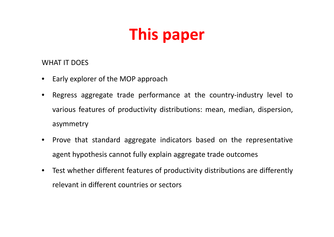# **This paper**

#### WHAT IT DOES

- $\bullet$ Early explorer of the MOP approach
- • Regress aggregate trade performance at the country‐industry level to various features of productivity distributions: mean, median, dispersion, asymmetry
- Prove that standard aggregate indicators based on the representative agent hypothesis cannot fully explain aggregate trade outcomes
- $\bullet$  Test whether different features of productivity distributions are differently relevant in different countries or sectors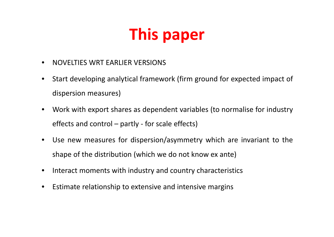# **This paper**

- $\bullet$ NOVELTIES WRT EARLIER VERSIONS
- $\bullet$  Start developing analytical framework (firm ground for expected impact of dispersion measures)
- • Work with export shares as dependent variables (to normalise for industry effects and control – partly ‐ for scale effects)
- $\bullet$  Use new measures for dispersion/asymmetry which are invariant to the shape of the distribution (which we do not know ex ante)
- •Interact moments with industry and country characteristics
- •Estimate relationship to extensive and intensive margins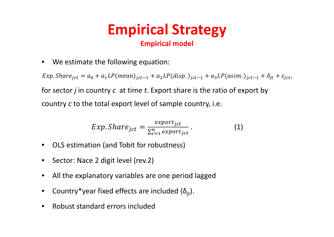### **Empirical Strategy Empirical model**

 $\bullet$ We estimate the following equation:

Exp. Shar $e_{jct} = a_0 + a_1 L P (mean)_{jct-1} + a_2 L P (disp.)_{jct-1} + a_3 L P (asim.)_{jct-1} + \delta_{jt} + \varepsilon_{jct},$ for sector *j* in country *c* at time *t*. Export share is the ratio of export by country *c* to the total export level of sample country, i.e.

$$
Exp. Share_{jct} = \frac{expert_{jct}}{\sum_{c=1}^{n} export_{jct}}.
$$
 (1)

- $\bullet$ OLS estimation (and Tobit for robustness)
- $\bullet$ Sector: Nace 2 digit level (rev.2)
- $\bullet$ All the explanatory variables are one period lagged
- $\bullet$ **•** Country\*year fixed effects are included ( $\delta_{\rm{jt}}$ ).
- •Robust standard errors included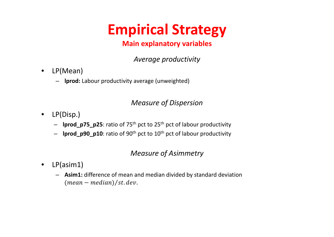## **Empirical Strategy**

### **Main explanatory variables**

*Average productivity*

- • LP(Mean)
	- **lprod:** Labour productivity average (unweighted)

### *Measure of Dispersion*

- LP(Disp.)
	- **lprod\_p75\_p25**: ratio of 75th pct to 25th pct of labour productivity
	- **lprod\_p90\_p10**: ratio of 90th pct to 10th pct of labour productivity

### *Measure of Asimmetry*

- $\bullet$  LP(asim1)
	- **Asim1:** difference of mean and median divided by standard deviation  $(mean - median)/st. dev.$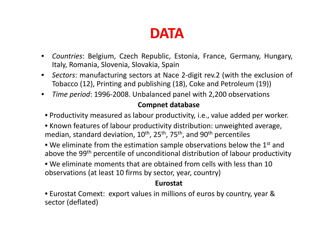### **DATA**

- $\bullet$  *Countries*: Belgium, Czech Republic, Estonia, France, Germany, Hungary, Italy, Romania, Slovenia, Slovakia, Spain
- *Sectors*: manufacturing sectors at Nace 2‐digit rev.2 (with the exclusion of Tobacco (12), Printing and publishing (18), Coke and Petroleum (19))
- $\bullet$ *Time period*: 1996-2008. Unbalanced panel with 2,200 observations

### **Compnet database**

- Productivity measured as labour productivity, i.e., value added per worker.
- Known features of labour productivity distribution: unweighted average, median, standard deviation,  $10^{th}$ ,  $25^{th}$ ,  $75^{th}$ , and  $90^{th}$  percentiles
- We eliminate from the estimation sample observations below the  $1^\text{st}$  and above the 99<sup>th</sup> percentile of unconditional distribution of labour productivity
- We eliminate moments that are obtained from cells with less than 10 observations (at least 10 firms by sector, year, country)

#### **Eurostat**

• Eurostat Comext: export values in millions of euros by country, year & sector (deflated)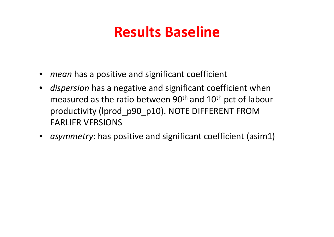## **Results Baseline**

- *mean* has a positive and significant coefficient
- *dispersion* has a negative and significant coefficient when measured as the ratio between 90<sup>th</sup> and 10<sup>th</sup> pct of labour productivity (lprod\_p90\_p10). NOTE DIFFERENT FROM EARLIER VERSIONS
- *asymmetry*: has positive and significant coefficient (asim1)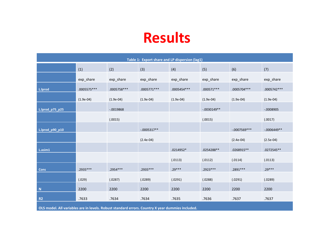| Table 1: Export share and LP dispersion (lag1)                                                   |               |              |               |              |               |                |               |  |  |  |
|--------------------------------------------------------------------------------------------------|---------------|--------------|---------------|--------------|---------------|----------------|---------------|--|--|--|
|                                                                                                  | (1)           | (2)          | (3)           | (4)          | (5)           | (6)            | (7)           |  |  |  |
|                                                                                                  | exp_share     | exp_share    | exp_share     | exp_share    | exp_share     | exp_share      | exp_share     |  |  |  |
| L.lprod                                                                                          | $.0005575***$ | .0005758 *** | $.0005771***$ | .0005454 *** | $.000571***$  | .0005704 ***   | .0005742 ***  |  |  |  |
|                                                                                                  | $(1.9e-04)$   | $(1.9e-04)$  | $(1.9e-04)$   | $(1.9e-04)$  | $(1.9e-04)$   | $(1.9e-04)$    | $(1.9e-04)$   |  |  |  |
| L.lprod_p75_p25                                                                                  |               | $-.0019868$  |               |              | $-.0030149**$ |                | $-.0008905$   |  |  |  |
|                                                                                                  |               | (.0015)      |               |              | (.0015)       |                | (.0017)       |  |  |  |
| L.lprod_p90_p10                                                                                  |               |              | $-.0005317**$ |              |               | $-.0007569***$ | $-.0006449**$ |  |  |  |
|                                                                                                  |               |              | $(2.4e-04)$   |              |               | $(2.4e-04)$    | $(2.5e-04)$   |  |  |  |
| $L.$ asim1                                                                                       |               |              |               | .0214952*    | .0254288**    | .0268915**     | .0272545**    |  |  |  |
|                                                                                                  |               |              |               | (.0113)      | (.0112)       | (.0114)        | (.0113)       |  |  |  |
| <b>Cons</b>                                                                                      | .2935 ***     | .2954 ***    | .2935 ***     | $.29***$     | .2923 ***     | .2891 ***      | $.29***$      |  |  |  |
|                                                                                                  | (.029)        | (.0287)      | (.0289)       | (.0291)      | (.0288)       | (.0291)        | (.0289)       |  |  |  |
| ${\bf N}$                                                                                        | 2200          | 2200         | 2200          | 2200         | 2200          | 2200           | 2200          |  |  |  |
| R <sub>2</sub>                                                                                   | .7633         | .7634        | .7634         | .7635        | .7636         | .7637          | .7637         |  |  |  |
| OLS model. All variables are in levels. Robust standard errors. Country X year dummies included. |               |              |               |              |               |                |               |  |  |  |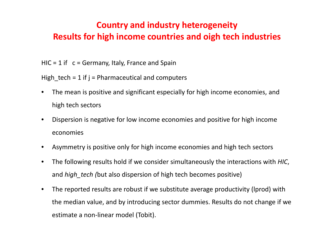### **Country and industry heterogeneity Results for high income countries and oigh tech industries**

HIC <sup>=</sup> 1 if <sup>c</sup> <sup>=</sup> Germany, Italy, France and Spain

High tech = 1 if  $j$  = Pharmaceutical and computers

- • The mean is positive and significant especially for high income economies, and high tech sectors
- $\bullet$  Dispersion is negative for low income economies and positive for high income economies
- $\bullet$ Asymmetry is positive only for high income economies and high tech sectors
- $\bullet$  The following results hold if we consider simultaneously the interactions with *HIC*, and *high\_tech (*but also dispersion of high tech becomes positive)
- $\bullet$  The reported results are robust if we substitute average productivity (lprod) with the median value, and by introducing sector dummies. Results do not change if we estimate <sup>a</sup> non‐linear model (Tobit).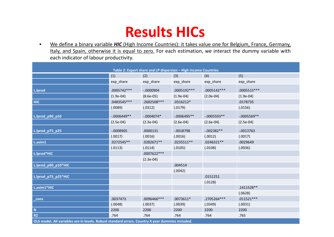### **Results HICs**

 $\bullet$  We define <sup>a</sup> binary variable *HIC* (High Income Countries): it takes value one for Belgium, France, Germany, Italy, and Spain, otherwise it is equal to zero. For each estimation, we interact the dummy variable with each indicator of labour productivity.

| Table 2: Export share and LP dispersion - High Income Countries                                  |                |              |                |               |                |  |  |  |
|--------------------------------------------------------------------------------------------------|----------------|--------------|----------------|---------------|----------------|--|--|--|
|                                                                                                  | (1)            | (2)          | (3)            | (4)           | (5)            |  |  |  |
|                                                                                                  | exp_share      | exp_share    | exp_share      | exp_share     | exp_share      |  |  |  |
| L.lprod                                                                                          | .0005742 ***   | $-.0000904$  | .0005192 ***   | .0005142 ***  | .0005515 ***   |  |  |  |
|                                                                                                  | $(1.9e-04)$    | $(8.6e-05)$  | $(1.9e-04)$    | $(2.0e-04)$   | $(1.9e-04)$    |  |  |  |
| <b>HIC</b>                                                                                       | .0483545 ***   | .2682508 *** | $.0316212*$    |               | .0178735       |  |  |  |
|                                                                                                  | (.0089)        | (.0312)      | (.0179)        |               | (.0156)        |  |  |  |
| L.lprod_p90_p10                                                                                  | $-0.0006449**$ | $-.0004074*$ | $-0.0006495**$ | $-.0005593**$ | $-0.0005569**$ |  |  |  |
|                                                                                                  | $(2.5e-04)$    | $(2.3e-04)$  | $(2.6e-04)$    | $(2.6e-04)$   | $(2.5e-04)$    |  |  |  |
| L.lprod_p75_p25                                                                                  | $-0.0008905$   | .0000131     | $-.0018798$    | $-0.002382**$ | $-.0013763$    |  |  |  |
|                                                                                                  | (.0017)        | (.0016)      | (.0016)        | (.0012)       | (.0017)        |  |  |  |
| L.asim1                                                                                          | .0272545**     | .0282671**   | .0235511 **    | .0246321**    | .0029649       |  |  |  |
|                                                                                                  | (.0113)        | (.0114)      | (.0105)        | (.0108)       | (.0036)        |  |  |  |
| L.lprod*HIC                                                                                      |                | .0007622 *** |                |               |                |  |  |  |
|                                                                                                  |                | $(2.3e-04)$  |                |               |                |  |  |  |
| L.lprod_p90_p10*HIC                                                                              |                |              | .004514        |               |                |  |  |  |
|                                                                                                  |                |              | (.0042)        |               |                |  |  |  |
| L.lprod_p75_p25*HIC                                                                              |                |              |                | .0151251      |                |  |  |  |
|                                                                                                  |                |              |                | (.0128)       |                |  |  |  |
| L.asim1*HIC                                                                                      |                |              |                |               | .1411528**     |  |  |  |
|                                                                                                  |                |              |                |               | (.0628)        |  |  |  |
| _cons                                                                                            | .0037473       | .0096466***  | $.0073611*$    | .2705264 ***  | $.011521***$   |  |  |  |
|                                                                                                  | (.0048)        | (.0037)      | (.0039)        | (.0349)       | (.0031)        |  |  |  |
| $\mathbf N$                                                                                      | 2200           | 2200         | 2200           | 2200          | 2200           |  |  |  |
| R <sub>2</sub>                                                                                   | .764           | .764         | .764           | .764          | .765           |  |  |  |
| OLS model. All variables are in levels. Robust standard errors. Country X year dummies included. |                |              |                |               |                |  |  |  |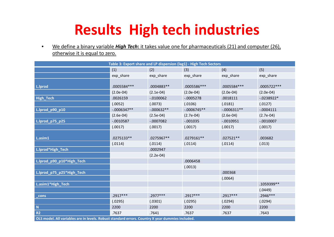## **Results High tech industries**

• We define <sup>a</sup> binary variable *High Tech***:** it takes value one for pharmaceuticals (21) and computer (26), otherwise it is equal to zero.

| Table 3: Export share and LP dispersion (lag1) - High Tech Sectors                               |               |               |               |               |              |  |  |  |  |
|--------------------------------------------------------------------------------------------------|---------------|---------------|---------------|---------------|--------------|--|--|--|--|
|                                                                                                  | (1)           | (2)           | (3)           | (4)           | (5)          |  |  |  |  |
|                                                                                                  | exp_share     | exp_share     | exp_share     | exp_share     | exp_share    |  |  |  |  |
|                                                                                                  |               |               |               |               |              |  |  |  |  |
| L.lprod                                                                                          | .0005584 ***  | .0004883**    | .0005586 ***  | .0005584 ***  | .0005722 *** |  |  |  |  |
|                                                                                                  | $(2.0e-04)$   | $(2.1e-04)$   | $(2.0e-04)$   | $(2.0e-04)$   | $(2.0e-04)$  |  |  |  |  |
| High_Tech                                                                                        | .0026159      | $-0.100062$   | $-.0005278$   | .0018111      | $-0238922*$  |  |  |  |  |
|                                                                                                  | (.0052)       | (.0073)       | (.0106)       | (.0181)       | (.0127)      |  |  |  |  |
| L.lprod_p90_p10                                                                                  | $-.0006347**$ | $-0.000632**$ | $-.0006745**$ | $-.0006311**$ | $-.0004111$  |  |  |  |  |
|                                                                                                  | $(2.6e-04)$   | $(2.5e-04)$   | $(2.7e-04)$   | $(2.6e-04)$   | $(2.7e-04)$  |  |  |  |  |
| L.lprod_p75_p25                                                                                  | $-0010587$    | $-0007082$    | $-.001035$    | $-.0010951$   | $-.0010007$  |  |  |  |  |
|                                                                                                  | (.0017)       | (.0017)       | (.0017)       | (.0017)       | (.0017)      |  |  |  |  |
|                                                                                                  |               |               |               |               |              |  |  |  |  |
| L.asim1                                                                                          | .0275133**    | .0275967**    | $.0279161**$  | $.027521**$   | .003682      |  |  |  |  |
|                                                                                                  | (.0114)       | (.0114)       | (.0114)       | (.0114)       | (.013)       |  |  |  |  |
| L.lprod*High_Tech                                                                                |               | .0002947      |               |               |              |  |  |  |  |
|                                                                                                  |               | $(2.2e-04)$   |               |               |              |  |  |  |  |
| L.lprod_p90_p10*High_Tech                                                                        |               |               | .0006458      |               |              |  |  |  |  |
|                                                                                                  |               |               | (.0013)       |               |              |  |  |  |  |
| L.lprod_p75_p25*High_Tech                                                                        |               |               |               | .000368       |              |  |  |  |  |
|                                                                                                  |               |               |               | (.0064)       |              |  |  |  |  |
| L.asim1*High_Tech                                                                                |               |               |               |               | .1059399**   |  |  |  |  |
|                                                                                                  |               |               |               |               | (.0449)      |  |  |  |  |
| _cons                                                                                            | $.2917***$    | $.2977***$    | $.2917***$    | $.2917***$    | .2946 ***    |  |  |  |  |
|                                                                                                  | (.0295)       | (.0301)       | (.0295)       | (.0294)       | (.0294)      |  |  |  |  |
| $\boldsymbol{\mathsf{N}}$                                                                        | 2200          | 2200          | 2200          | 2200          | 2200         |  |  |  |  |
| <b>R2</b>                                                                                        | .7637         | .7641         | .7637         | .7637         | .7643        |  |  |  |  |
| OLS model. All variables are in levels. Robust standard errors. Country X year dummies included. |               |               |               |               |              |  |  |  |  |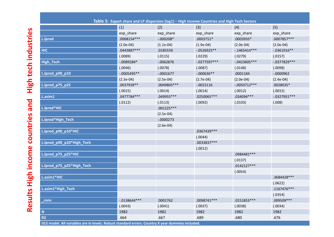|                           | (1)            | (2)          | (3)            | (4)            | (5)            |
|---------------------------|----------------|--------------|----------------|----------------|----------------|
|                           | exp_share      | exp_share    | exp_share      | exp_share      | exp_share      |
| L.lprod                   | .0008154***    | $-.000208*$  | $.0003751*$    | .0003935*      | .0007857***    |
|                           | $(2.0e-04)$    | $(1.1e-04)$  | $(1.9e-04)$    | $(2.0e-04)$    | $(2.0e-04)$    |
| <b>HIC</b>                | .0443887***    | .0185559     | $-0526925**$   | $-.1465414***$ | $-.0361916**$  |
|                           | (.0089)        | (.0115)      | (.0229)        | (.0279)        | (.0157)        |
| <b>High_Tech</b>          | $-0.089284*$   | $-0.062876$  | $-.0277597***$ | $-.0423605***$ | $-.0377829***$ |
|                           | (.0046)        | (.0078)      | (.0087)        | (.0148)        | (.0098)        |
| L.lprod_p90_p10           | $-.0005495**$  | $-.0001677$  | $-.000636**$   | .0001184       | $-.0000962$    |
|                           | $(2.3e-04)$    | $(2.5e-04)$  | $(2.7e-04)$    | $(2.0e-04)$    | $(2.4e-04)$    |
| L.lprod_p75_p25           | .0037939 **    | .0049805 *** | $-.0022116$    | $-.0050712***$ | $.0028035*$    |
|                           | (.0015)        | (.0014)      | (.0014)        | (.0012)        | (.0015)        |
| L.asim1                   | .0477784***    | .049955 ***  | .0250065***    | .034094 ***    | $-.0327951***$ |
|                           | (.0112)        | (.0113)      | (.0092)        | (.0103)        | (.008)         |
| L.lprod*HIC               |                | $.001225***$ |                |                |                |
|                           |                | $(2.5e-04)$  |                |                |                |
| L.lprod*High_Tech         |                | $-.0000273$  |                |                |                |
|                           |                | $(2.6e-04)$  |                |                |                |
| L.lprod_p90_p10*HIC       |                |              | .0367439 ***   |                |                |
|                           |                |              | (.0044)        |                |                |
| L.lprod_p90_p10*High_Tech |                |              | .0033837 ***   |                |                |
|                           |                |              | (.0012)        |                |                |
| L.lprod_p75_p25*HIC       |                |              |                | .0984481 ***   |                |
|                           |                |              |                | (.0137)        |                |
| L.lprod_p75_p25*High_Tech |                |              |                | $.0142127***$  |                |
|                           |                |              |                | (.0054)        |                |
| L.asim1*HIC               |                |              |                |                | .3684428 ***   |
|                           |                |              |                |                | (.0622)        |
| L.asim1*High_Tech         |                |              |                |                | .1167476 ***   |
|                           |                |              |                |                | (.0354)        |
| cons                      | $-.0138644***$ | .0001762     | .0098741 ***   | .0151853 ***   | .009509 ***    |
|                           | (.0043)        | (.0041)      | (.0037)        | (.0038)        | (.0034)        |
| ${\bf N}$                 | 1982           | 1982         | 1982           | 1982           | 1982           |
| R <sub>2</sub>            | .664           | .667         | .689           | .680           | .676           |

- OLS model. All variables are in levels. Robust standard errors. Country X year dummies included.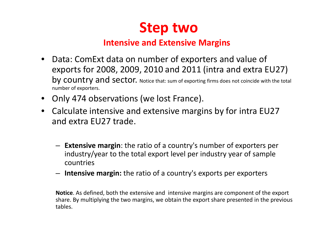

### **Intensive and Extensive Margins**

- Data: ComExt data on number of exporters and value of exports for 2008, 2009, 2010 and 2011 (intra and extra EU27) by country and sector. Notice that: sum of exporting firms does not coincide with the total number of exporters.
- Only 474 observations (we lost France).
- Calculate intensive and extensive margins by for intra EU27 and extra EU27 trade.
	- **Extensive margin**: the ratio of <sup>a</sup> country's number of exporters per industry/year to the total export level per industry year of sample countries
	- **Intensive margin:** the ratio of <sup>a</sup> country's exports per exporters

**Notice**. As defined, both the extensive and intensive margins are component of the export share. By multiplying the two margins, we obtain the export share presented in the previous tables.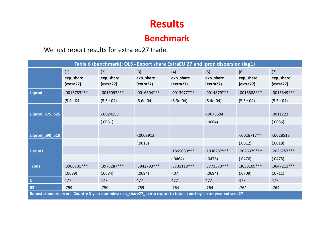### **Benchmark**

#### We just report results for extra eu27 trade.

| Table 6 (benchmark): OLS - Export share ExtraEU 27 and lprod dispersion (lag1)                                      |                                         |                                         |                                         |                                         |                        |                                         |                                         |  |  |
|---------------------------------------------------------------------------------------------------------------------|-----------------------------------------|-----------------------------------------|-----------------------------------------|-----------------------------------------|------------------------|-----------------------------------------|-----------------------------------------|--|--|
|                                                                                                                     | (1)                                     | (2)                                     | (3)                                     | (4)                                     | (5)                    | (6)                                     | (7)                                     |  |  |
|                                                                                                                     | exp_share<br>$\left($ extra27 $\right)$ | exp_share<br>$\left($ extra27 $\right)$ | exp_share<br>$\left($ extra27 $\right)$ | exp_share<br>$\left($ extra27 $\right)$ | exp_share<br>(extra27) | exp_share<br>$\left($ extra27 $\right)$ | exp_share<br>$\left($ extra27 $\right)$ |  |  |
| L.lprod                                                                                                             | .0015783 ***                            | $.0016092***$                           | .0016304 ***                            | .0013977***                             | .0014879 ***           | .0015388***                             | .0015349 ***                            |  |  |
|                                                                                                                     | $(5.4e-04)$                             | $(5.5e-04)$                             | $(5.6e-04)$                             | $(5.3e-04)$                             | $(5.4e-04)$            | $(5.5e-04)$                             | $(5.5e-04)$                             |  |  |
| L.lprod_p75_p25                                                                                                     |                                         | $-.0024158$                             |                                         |                                         | $-0075594$             |                                         | .0011223                                |  |  |
|                                                                                                                     |                                         | (.0061)                                 |                                         |                                         | (.0064)                |                                         | (.0086)                                 |  |  |
| L.lprod_p90_p10                                                                                                     |                                         |                                         | $-.0008913$                             |                                         |                        | $-.0026717**$                           | $-.0028518$                             |  |  |
|                                                                                                                     |                                         |                                         | (.0013)                                 |                                         |                        | (.0012)                                 | (.0018)                                 |  |  |
| L.asim1                                                                                                             |                                         |                                         |                                         | .1869689***                             | .1938287***            | .2026379 ***                            | .2026757 ***                            |  |  |
|                                                                                                                     |                                         |                                         |                                         | (.0464)                                 | (.0478)                | (.0476)                                 | (.0475)                                 |  |  |
| _cons                                                                                                               | .3960731 ***                            | .3976287***                             | .3942793 ***                            | .3731118 ***                            | .3771373 ***           | .3658109 ***                            | .3647211 ***                            |  |  |
|                                                                                                                     | (.0689)                                 | (.0684)                                 | (.0694)                                 | (.07)                                   | (.0694)                | (.0709)                                 | (.0711)                                 |  |  |
| $\mathbf N$                                                                                                         | 477                                     | 477                                     | 477                                     | 477                                     | 477                    | 477                                     | 477                                     |  |  |
| <b>R2</b>                                                                                                           | .759                                    | .750                                    | .759                                    | .764                                    | .764                   | .764                                    | .764                                    |  |  |
| Robust standard errors. Country X year dummies: exp_share27_extra: export to total export by sector year extra eu27 |                                         |                                         |                                         |                                         |                        |                                         |                                         |  |  |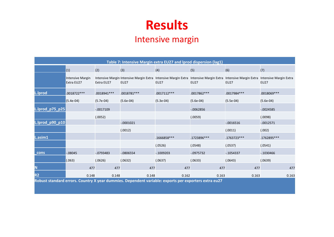#### Intensive margin

| Table 7: Intensive Margin extra EU27 and Iprod dispersion (lag1) |                                       |              |                                                        |                                       |                                                              |              |                                       |  |  |
|------------------------------------------------------------------|---------------------------------------|--------------|--------------------------------------------------------|---------------------------------------|--------------------------------------------------------------|--------------|---------------------------------------|--|--|
|                                                                  | (1)                                   | (2)          | (3)                                                    | (4)                                   | (5)                                                          | (6)          | (7)                                   |  |  |
|                                                                  | <b>Intensive Margin</b><br>Extra EU27 | Extra EU27   | Intensive Margin Intensive Margin Extra<br><b>EU27</b> | Intensive Margin Extra<br><b>EU27</b> | Intensive Margin Extra Intensive Margin Extra<br><b>EU27</b> | <b>EU27</b>  | Intensive Margin Extra<br><b>EU27</b> |  |  |
| L.Iprod                                                          | .0018722 ***                          | .0018941 *** | .0018781 ***                                           | .0017112 ***                          | .0017862***                                                  | .0017984 *** | .0018069 ***                          |  |  |
|                                                                  | $(5.4e-04)$                           | $(5.7e-04)$  | $(5.6e-04)$                                            | $(5.3e-04)$                           | $(5.6e-04)$                                                  | $(5.5e-04)$  | $(5.6e-04)$                           |  |  |
| L.lprod_p75_p25                                                  |                                       | $-.0017109$  |                                                        |                                       | $-0.062856$                                                  |              | $-0024585$                            |  |  |
|                                                                  |                                       | (.0052)      |                                                        |                                       | (.0059)                                                      |              | (.0098)                               |  |  |
| L.lprod_p90_p10                                                  |                                       |              | $-.0001021$                                            |                                       |                                                              | $-0.0016516$ | $-.0012571$                           |  |  |
|                                                                  |                                       |              | (.0012)                                                |                                       |                                                              | (.0011)      | (.002)                                |  |  |
| L.asim1                                                          |                                       |              |                                                        | .1666858***                           | .1723896***                                                  | .1763723***  | .1762895***                           |  |  |
|                                                                  |                                       |              |                                                        | (.0526)                               | (.0548)                                                      | (.0537)      | (.0541)                               |  |  |
| cons                                                             | $-08045$                              | $-0793483$   | $-0806554$                                             | $-0.1009203$                          | $-0.0975732$                                                 | $-0.1054337$ | $-0.1030466$                          |  |  |
|                                                                  | (.063)                                | (.0626)      | (.0632)                                                | (.0637)                               | (.0633)                                                      | (.0643)      | (.0639)                               |  |  |
| N                                                                | 477                                   | 477          | 477                                                    | 477                                   | 477                                                          | 477          | 477                                   |  |  |
| R <sub>2</sub>                                                   | 0.148                                 | 0.148        | 0.148                                                  | 0.162                                 | 0.163                                                        | 0.163        | 0.163                                 |  |  |

**Robust standard errors. Country X year dummies. Dependent variable: exports per exporters extra eu27**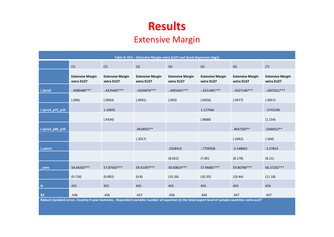### Extensive Margin

| Table 8: OLS - Extensive Margin extra EU27 and Iprod dispersion (lag1) |                                       |                                       |                                       |                                       |                                       |                                       |                                       |  |  |
|------------------------------------------------------------------------|---------------------------------------|---------------------------------------|---------------------------------------|---------------------------------------|---------------------------------------|---------------------------------------|---------------------------------------|--|--|
|                                                                        | (1)                                   | (2)                                   | (3)                                   | (4)                                   | (5)                                   | (6)                                   | (7)                                   |  |  |
|                                                                        | <b>Extensive Margin</b><br>extra EU27 | <b>Extensive Margin</b><br>extra EU27 | <b>Extensive Margin</b><br>extra EU27 | <b>Extensive Margin</b><br>extra EU27 | <b>Extensive Margin</b><br>extra EU27 | <b>Extensive Margin</b><br>extra EU27 | <b>Extensive Margin</b><br>extra EU27 |  |  |
| L.lprod                                                                | $-4089486***$                         | $-4225465***$                         | $-.4335876***$                        | $-.4091641***$                        | $-4221481***$                         | $-.4327146***$                        | $-4307621***$                         |  |  |
|                                                                        | (.096)                                | (.0943)                               | (.0991)                               | (.093)                                | (.0926)                               | (.0977)                               | (.0957)                               |  |  |
| L.lprod_p75_p25                                                        |                                       | 1.10691                               |                                       |                                       | 1.127666                              |                                       | $-5743196$                            |  |  |
|                                                                        |                                       | (.9334)                               |                                       |                                       | (.8688)                               |                                       | (1.154)                               |  |  |
| L.lprod_p90_p10                                                        |                                       |                                       | .4418932**                            |                                       |                                       | .4647293**                            | .5566913**                            |  |  |
|                                                                        |                                       |                                       | (.2017)                               |                                       |                                       | (.2042)                               | (.264)                                |  |  |
| L.asim1                                                                |                                       |                                       |                                       | .2558415                              | $-0.7759358$                          | $-2.548661$                           | $-2.57814$                            |  |  |
|                                                                        |                                       |                                       |                                       | (8.022)                               | (7.85)                                | (8.178)                               | (8.21)                                |  |  |
| _cons                                                                  | 58.64263***                           | 57.87656***                           | 59.42397***                           | 58.60814***                           | 57.96681 ***                          | 59.80796***                           | 60.37201***                           |  |  |
|                                                                        | (9.716)                               | (9.892)                               | (9.8)                                 | (10.26)                               | (10.35)                               | (10.44)                               | (11.18)                               |  |  |
| $\blacksquare$                                                         | 455                                   | 455                                   | 455                                   | 455                                   | 455                                   | 455                                   | 455                                   |  |  |
| <b>R2</b>                                                              | .436                                  | .436                                  | .437                                  | .436                                  | .436                                  | .437                                  | .437                                  |  |  |

Robust standard errors. Country X year dummies. Dependent variable: number of exporters to the total export level of sample countries: extra eu27